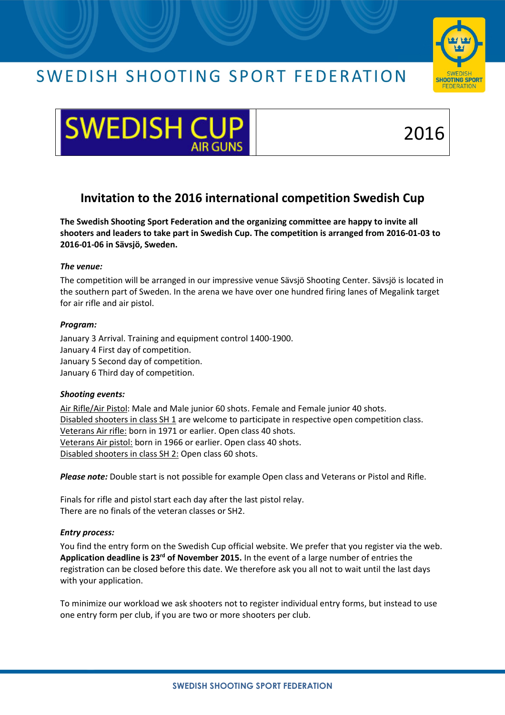## SWEDISH SHOOTING SPORT FEDERATION





# 2016

### Invitation to the 2016 international competition Swedish Cup

The Swedish Shooting Sport Federation and the organizing committee are happy to invite all shooters and leaders to take part in Swedish Cup. The competition is arranged from 2016-01-03 to 2016-01-06 in Sävsjö, Sweden.

#### The venue:

The competition will be arranged in our impressive venue Sävsjö Shooting Center. Sävsjö is located in the southern part of Sweden. In the arena we have over one hundred firing lanes of Megalink target for air rifle and air pistol.

#### Program:

January 3 Arrival. Training and equipment control 1400-1900. January 4 First day of competition. January 5 Second day of competition. January 6 Third day of competition.

#### Shooting events:

Air Rifle/Air Pistol: Male and Male junior 60 shots. Female and Female junior 40 shots. Disabled shooters in class SH 1 are welcome to participate in respective open competition class. Veterans Air rifle: born in 1971 or earlier. Open class 40 shots. Veterans Air pistol: born in 1966 or earlier. Open class 40 shots. Disabled shooters in class SH 2: Open class 60 shots.

Please note: Double start is not possible for example Open class and Veterans or Pistol and Rifle.

Finals for rifle and pistol start each day after the last pistol relay. There are no finals of the veteran classes or SH2.

#### Entry process:

You find the entry form on the Swedish Cup official website. We prefer that you register via the web. Application deadline is  $23^{rd}$  of November 2015. In the event of a large number of entries the registration can be closed before this date. We therefore ask you all not to wait until the last days with your application.

To minimize our workload we ask shooters not to register individual entry forms, but instead to use one entry form per club, if you are two or more shooters per club.